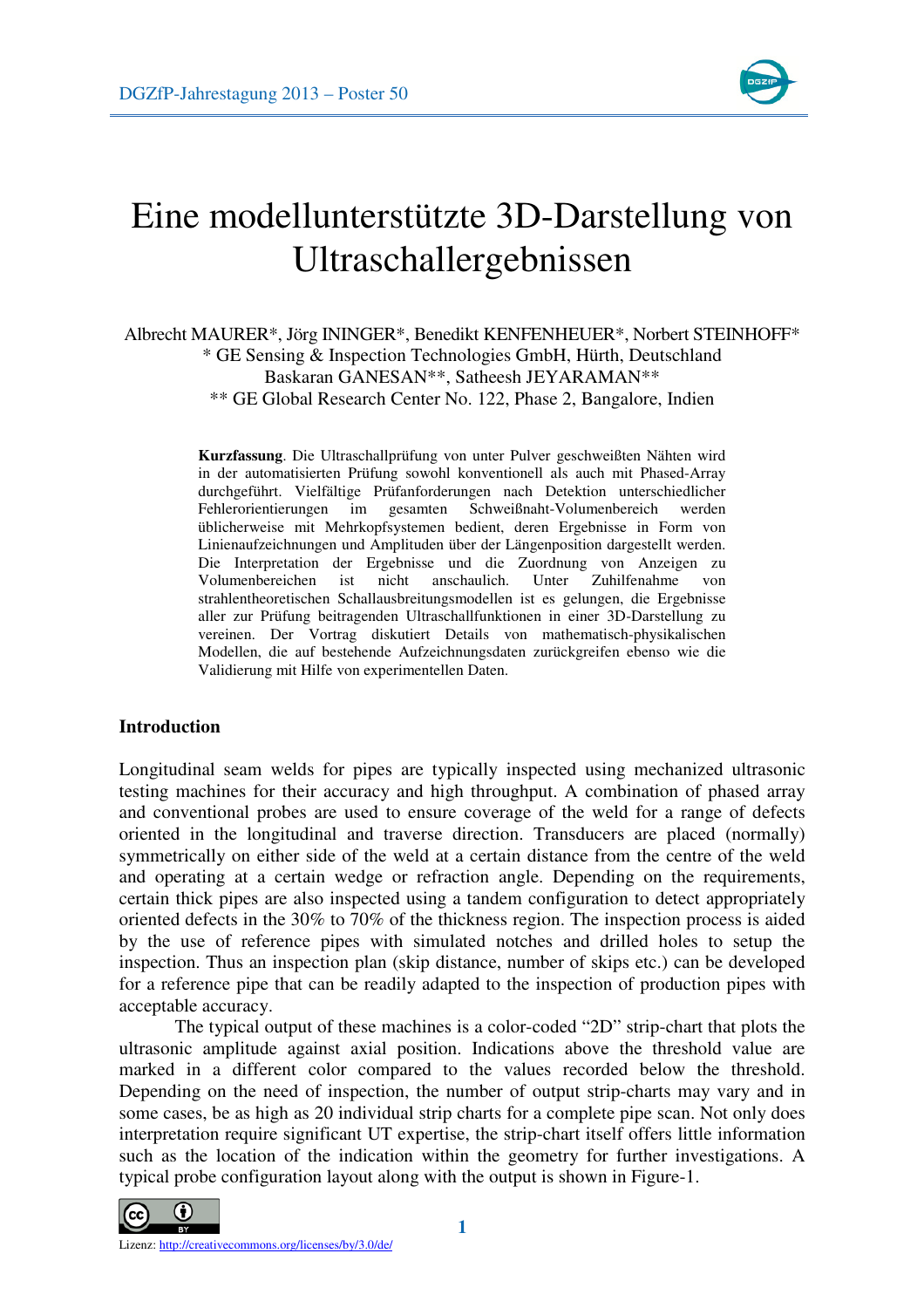

# Eine modellunterstützte 3D-Darstellung von Ultraschallergebnissen

# Albrecht MAURER\*, Jörg ININGER\*, Benedikt KENFENHEUER\*, Norbert STEINHOFF\* \* GE Sensing & Inspection Technologies GmbH, Hürth, Deutschland Baskaran GANESAN\*\*, Satheesh JEYARAMAN\*\* \*\* GE Global Research Center No. 122, Phase 2, Bangalore, Indien

**Kurzfassung**. Die Ultraschallprüfung von unter Pulver geschweißten Nähten wird in der automatisierten Prüfung sowohl konventionell als auch mit Phased-Array durchgeführt. Vielfältige Prüfanforderungen nach Detektion unterschiedlicher Fehlerorientierungen im gesamten Schweißnaht-Volumenbereich werden üblicherweise mit Mehrkopfsystemen bedient, deren Ergebnisse in Form von Linienaufzeichnungen und Amplituden über der Längenposition dargestellt werden. Die Interpretation der Ergebnisse und die Zuordnung von Anzeigen zu Volumenbereichen ist nicht anschaulich. Unter Zuhilfenahme von strahlentheoretischen Schallausbreitungsmodellen ist es gelungen, die Ergebnisse aller zur Prüfung beitragenden Ultraschallfunktionen in einer 3D-Darstellung zu vereinen. Der Vortrag diskutiert Details von mathematisch-physikalischen Modellen, die auf bestehende Aufzeichnungsdaten zurückgreifen ebenso wie die Validierung mit Hilfe von experimentellen Daten.

# **Introduction**

Longitudinal seam welds for pipes are typically inspected using mechanized ultrasonic testing machines for their accuracy and high throughput. A combination of phased array and conventional probes are used to ensure coverage of the weld for a range of defects oriented in the longitudinal and traverse direction. Transducers are placed (normally) symmetrically on either side of the weld at a certain distance from the centre of the weld and operating at a certain wedge or refraction angle. Depending on the requirements, certain thick pipes are also inspected using a tandem configuration to detect appropriately oriented defects in the 30% to 70% of the thickness region. The inspection process is aided by the use of reference pipes with simulated notches and drilled holes to setup the inspection. Thus an inspection plan (skip distance, number of skips etc.) can be developed for a reference pipe that can be readily adapted to the inspection of production pipes with acceptable accuracy.

The typical output of these machines is a color-coded "2D" strip-chart that plots the ultrasonic amplitude against axial position. Indications above the threshold value are marked in a different color compared to the values recorded below the threshold. Depending on the need of inspection, the number of output strip-charts may vary and in some cases, be as high as 20 individual strip charts for a complete pipe scan. Not only does interpretation require significant UT expertise, the strip-chart itself offers little information such as the location of the indication within the geometry for further investigations. A typical probe configuration layout along with the output is shown in Figure-1.

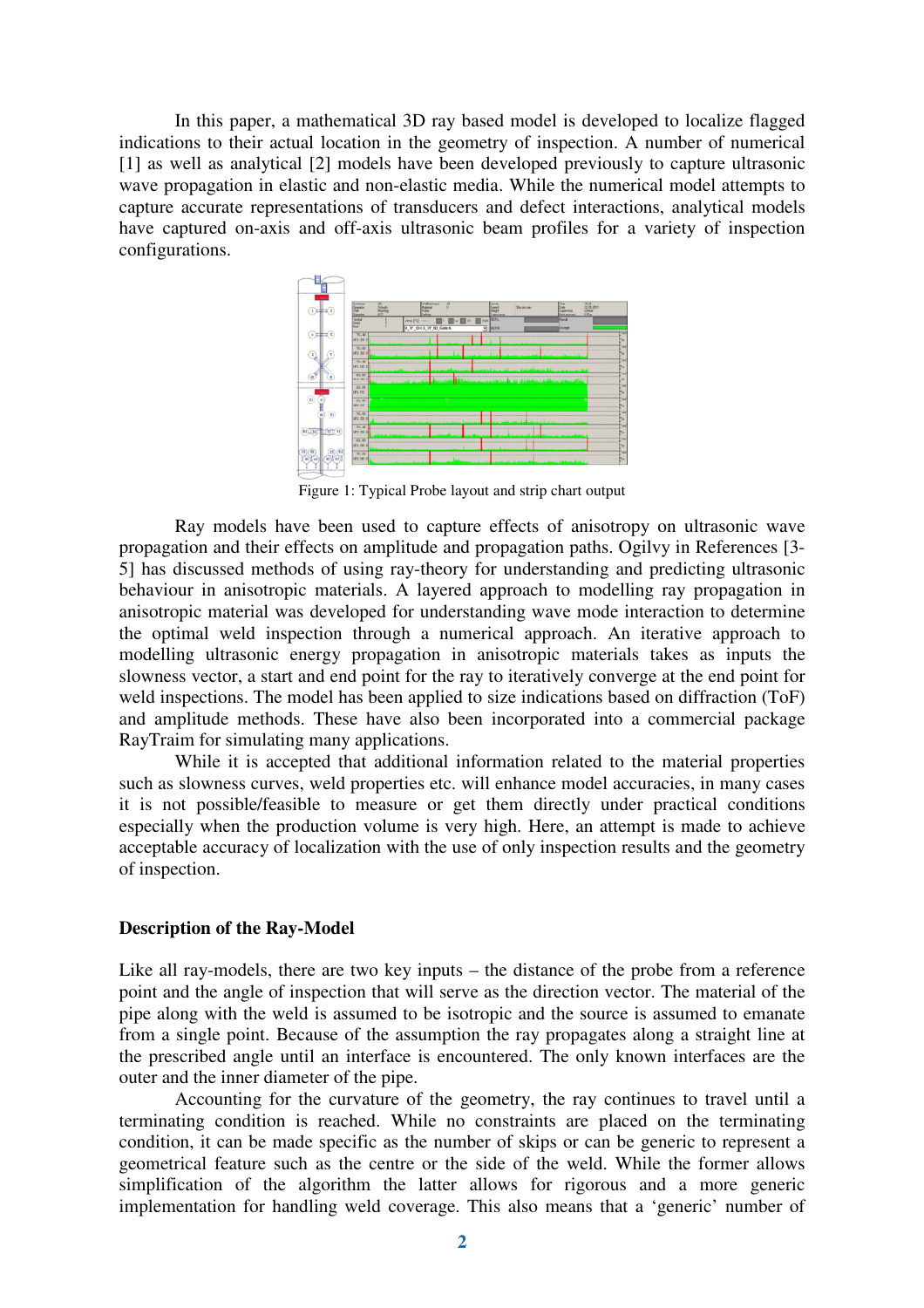In this paper, a mathematical 3D ray based model is developed to localize flagged indications to their actual location in the geometry of inspection. A number of numerical [1] as well as analytical [2] models have been developed previously to capture ultrasonic wave propagation in elastic and non-elastic media. While the numerical model attempts to capture accurate representations of transducers and defect interactions, analytical models have captured on-axis and off-axis ultrasonic beam profiles for a variety of inspection configurations.



Figure 1: Typical Probe layout and strip chart output

Ray models have been used to capture effects of anisotropy on ultrasonic wave propagation and their effects on amplitude and propagation paths. Ogilvy in References [3- 5] has discussed methods of using ray-theory for understanding and predicting ultrasonic behaviour in anisotropic materials. A layered approach to modelling ray propagation in anisotropic material was developed for understanding wave mode interaction to determine the optimal weld inspection through a numerical approach. An iterative approach to modelling ultrasonic energy propagation in anisotropic materials takes as inputs the slowness vector, a start and end point for the ray to iteratively converge at the end point for weld inspections. The model has been applied to size indications based on diffraction (ToF) and amplitude methods. These have also been incorporated into a commercial package RayTraim for simulating many applications.

While it is accepted that additional information related to the material properties such as slowness curves, weld properties etc. will enhance model accuracies, in many cases it is not possible/feasible to measure or get them directly under practical conditions especially when the production volume is very high. Here, an attempt is made to achieve acceptable accuracy of localization with the use of only inspection results and the geometry of inspection.

#### **Description of the Ray-Model**

Like all ray-models, there are two key inputs – the distance of the probe from a reference point and the angle of inspection that will serve as the direction vector. The material of the pipe along with the weld is assumed to be isotropic and the source is assumed to emanate from a single point. Because of the assumption the ray propagates along a straight line at the prescribed angle until an interface is encountered. The only known interfaces are the outer and the inner diameter of the pipe.

Accounting for the curvature of the geometry, the ray continues to travel until a terminating condition is reached. While no constraints are placed on the terminating condition, it can be made specific as the number of skips or can be generic to represent a geometrical feature such as the centre or the side of the weld. While the former allows simplification of the algorithm the latter allows for rigorous and a more generic implementation for handling weld coverage. This also means that a 'generic' number of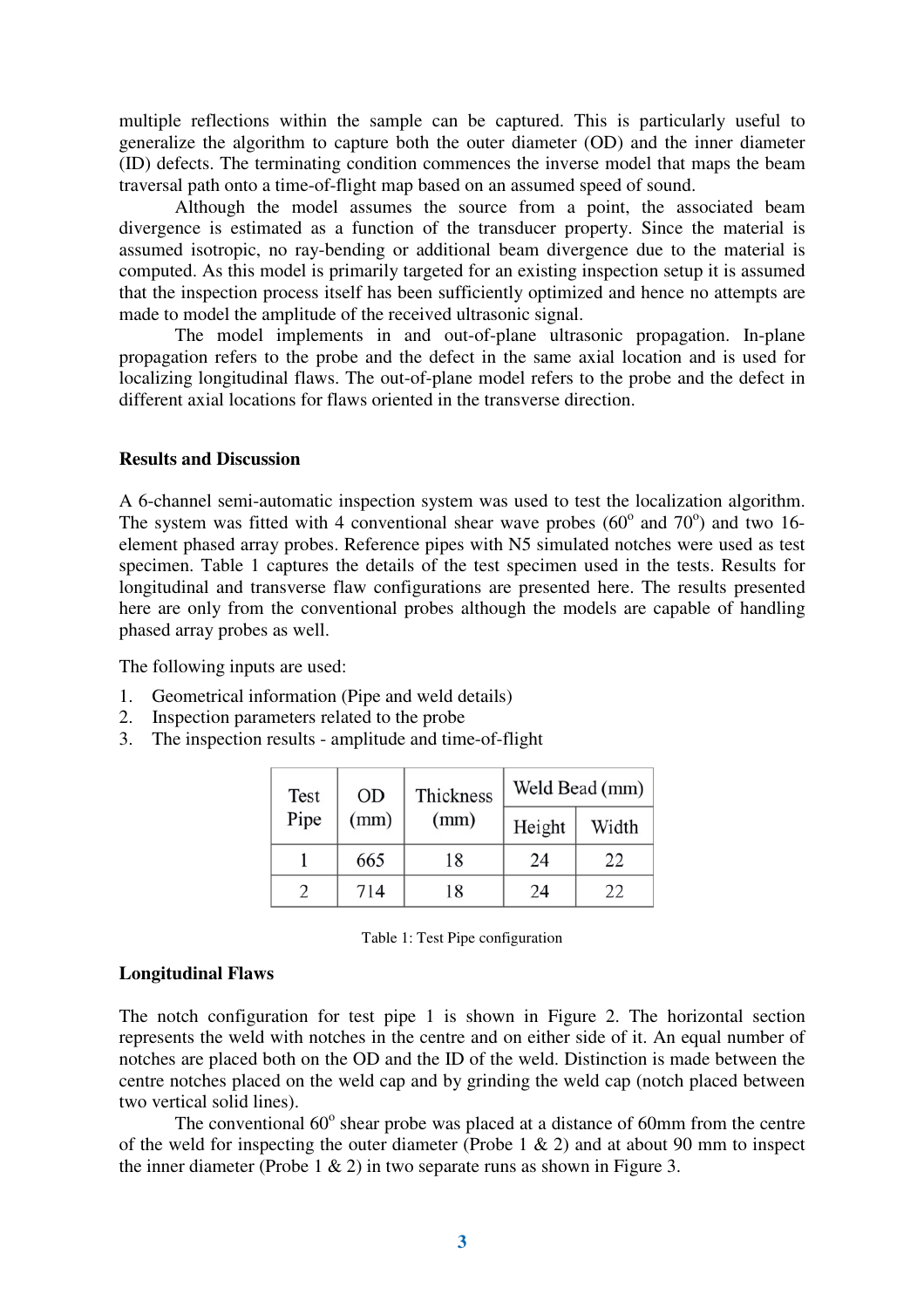multiple reflections within the sample can be captured. This is particularly useful to generalize the algorithm to capture both the outer diameter (OD) and the inner diameter (ID) defects. The terminating condition commences the inverse model that maps the beam traversal path onto a time-of-flight map based on an assumed speed of sound.

Although the model assumes the source from a point, the associated beam divergence is estimated as a function of the transducer property. Since the material is assumed isotropic, no ray-bending or additional beam divergence due to the material is computed. As this model is primarily targeted for an existing inspection setup it is assumed that the inspection process itself has been sufficiently optimized and hence no attempts are made to model the amplitude of the received ultrasonic signal.

The model implements in and out-of-plane ultrasonic propagation. In-plane propagation refers to the probe and the defect in the same axial location and is used for localizing longitudinal flaws. The out-of-plane model refers to the probe and the defect in different axial locations for flaws oriented in the transverse direction.

## **Results and Discussion**

A 6-channel semi-automatic inspection system was used to test the localization algorithm. The system was fitted with 4 conventional shear wave probes  $(60^{\circ}$  and  $70^{\circ})$  and two 16element phased array probes. Reference pipes with N5 simulated notches were used as test specimen. Table 1 captures the details of the test specimen used in the tests. Results for longitudinal and transverse flaw configurations are presented here. The results presented here are only from the conventional probes although the models are capable of handling phased array probes as well.

The following inputs are used:

- 1. Geometrical information (Pipe and weld details)
- 2. Inspection parameters related to the probe
- 3. The inspection results amplitude and time-of-flight

| Test | <b>OD</b><br>(mm) | Thickness<br>(mm) | Weld Bead (mm) |       |
|------|-------------------|-------------------|----------------|-------|
| Pipe |                   |                   | Height         | Width |
|      | 665               | 18                | 24             | 22    |
|      | 714               | 18                | 24             | 22    |

| Table 1: Test Pipe configuration |  |
|----------------------------------|--|
|----------------------------------|--|

## **Longitudinal Flaws**

The notch configuration for test pipe 1 is shown in Figure 2. The horizontal section represents the weld with notches in the centre and on either side of it. An equal number of notches are placed both on the OD and the ID of the weld. Distinction is made between the centre notches placed on the weld cap and by grinding the weld cap (notch placed between two vertical solid lines).

The conventional 60° shear probe was placed at a distance of 60mm from the centre of the weld for inspecting the outer diameter (Probe  $1 \& 2$ ) and at about 90 mm to inspect the inner diameter (Probe 1  $\&$  2) in two separate runs as shown in Figure 3.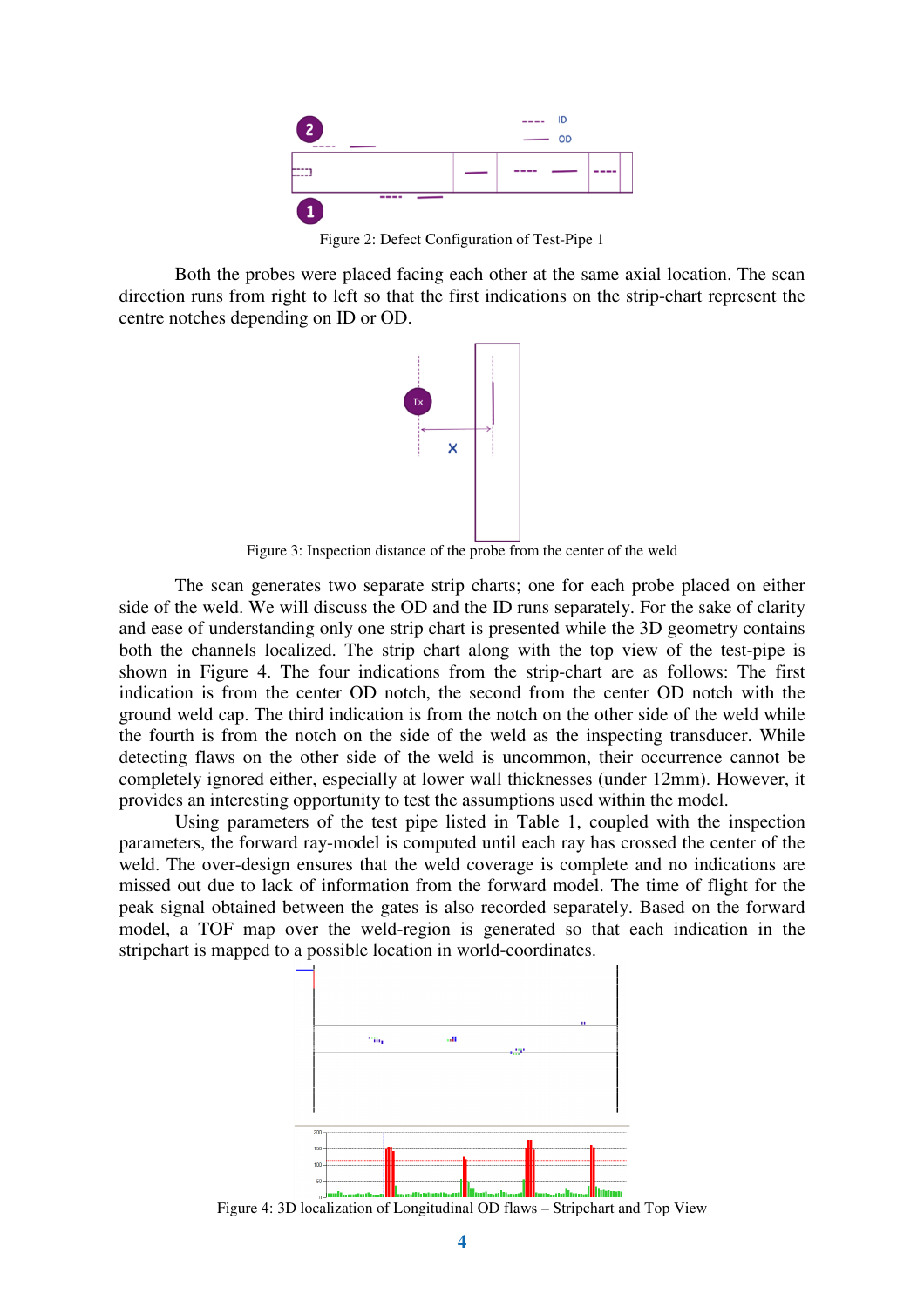

Figure 2: Defect Configuration of Test-Pipe 1

Both the probes were placed facing each other at the same axial location. The scan direction runs from right to left so that the first indications on the strip-chart represent the centre notches depending on ID or OD.



Figure 3: Inspection distance of the probe from the center of the weld

The scan generates two separate strip charts; one for each probe placed on either side of the weld. We will discuss the OD and the ID runs separately. For the sake of clarity and ease of understanding only one strip chart is presented while the 3D geometry contains both the channels localized. The strip chart along with the top view of the test-pipe is shown in Figure 4. The four indications from the strip-chart are as follows: The first indication is from the center OD notch, the second from the center OD notch with the ground weld cap. The third indication is from the notch on the other side of the weld while the fourth is from the notch on the side of the weld as the inspecting transducer. While detecting flaws on the other side of the weld is uncommon, their occurrence cannot be completely ignored either, especially at lower wall thicknesses (under 12mm). However, it provides an interesting opportunity to test the assumptions used within the model.

Using parameters of the test pipe listed in Table 1, coupled with the inspection parameters, the forward ray-model is computed until each ray has crossed the center of the weld. The over-design ensures that the weld coverage is complete and no indications are missed out due to lack of information from the forward model. The time of flight for the peak signal obtained between the gates is also recorded separately. Based on the forward model, a TOF map over the weld-region is generated so that each indication in the stripchart is mapped to a possible location in world-coordinates.



Figure 4: 3D localization of Longitudinal OD flaws – Stripchart and Top View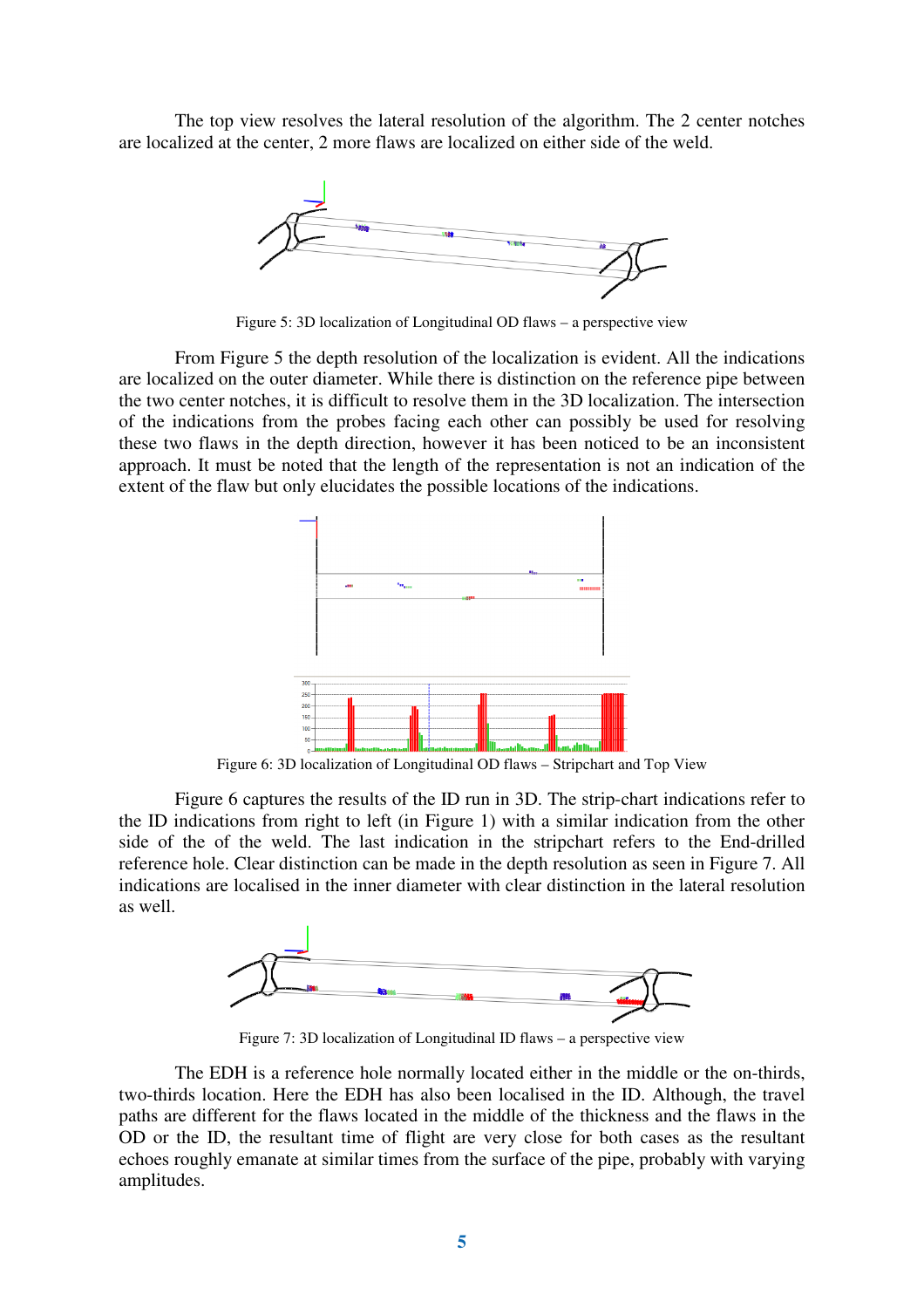The top view resolves the lateral resolution of the algorithm. The 2 center notches are localized at the center, 2 more flaws are localized on either side of the weld.



Figure 5: 3D localization of Longitudinal OD flaws – a perspective view

From Figure 5 the depth resolution of the localization is evident. All the indications are localized on the outer diameter. While there is distinction on the reference pipe between the two center notches, it is difficult to resolve them in the 3D localization. The intersection of the indications from the probes facing each other can possibly be used for resolving these two flaws in the depth direction, however it has been noticed to be an inconsistent approach. It must be noted that the length of the representation is not an indication of the extent of the flaw but only elucidates the possible locations of the indications.



Figure 6: 3D localization of Longitudinal OD flaws – Stripchart and Top View

Figure 6 captures the results of the ID run in 3D. The strip-chart indications refer to the ID indications from right to left (in Figure 1) with a similar indication from the other side of the of the weld. The last indication in the stripchart refers to the End-drilled reference hole. Clear distinction can be made in the depth resolution as seen in Figure 7. All indications are localised in the inner diameter with clear distinction in the lateral resolution as well.



Figure 7: 3D localization of Longitudinal ID flaws – a perspective view

The EDH is a reference hole normally located either in the middle or the on-thirds, two-thirds location. Here the EDH has also been localised in the ID. Although, the travel paths are different for the flaws located in the middle of the thickness and the flaws in the OD or the ID, the resultant time of flight are very close for both cases as the resultant echoes roughly emanate at similar times from the surface of the pipe, probably with varying amplitudes.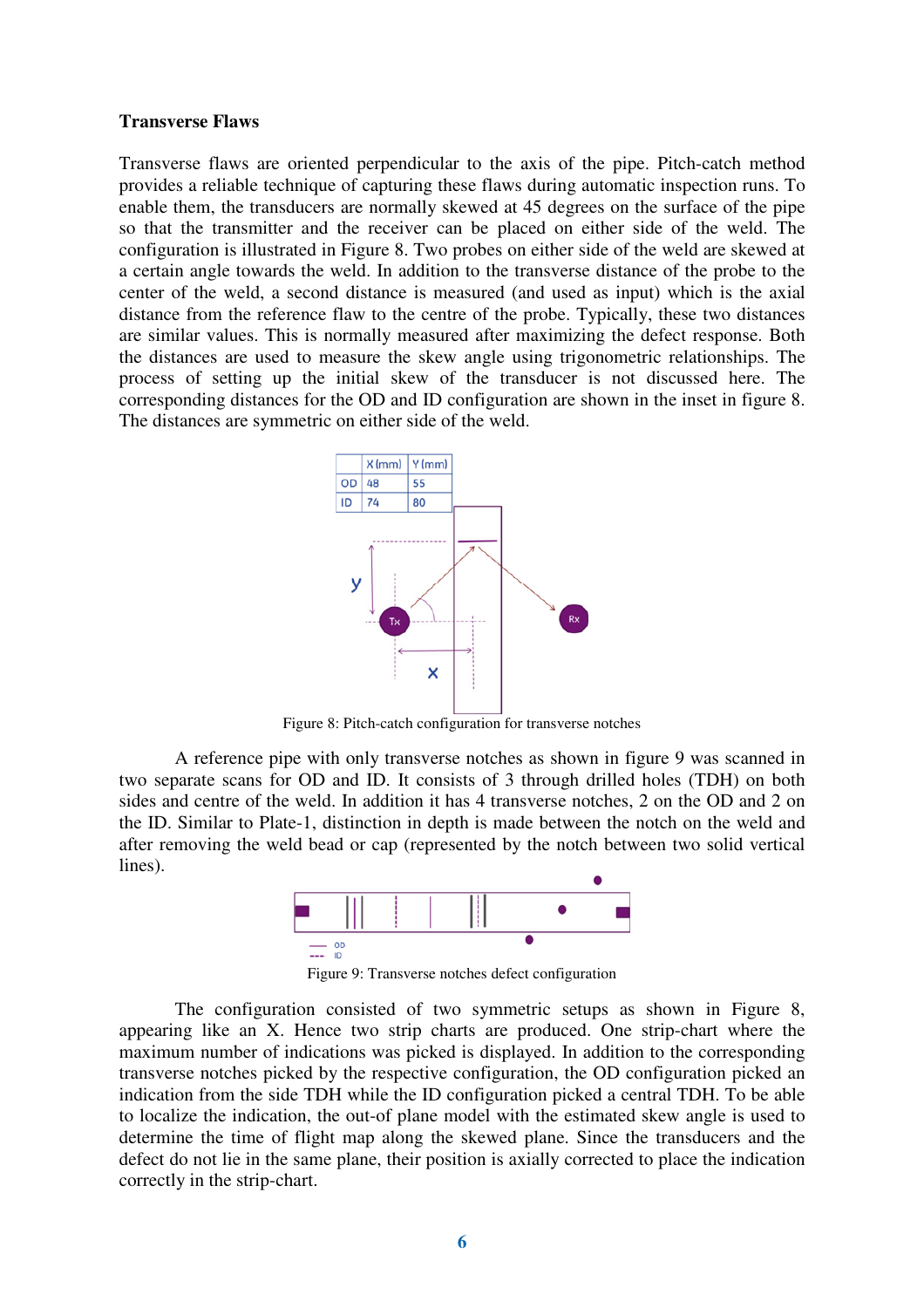#### **Transverse Flaws**

Transverse flaws are oriented perpendicular to the axis of the pipe. Pitch-catch method provides a reliable technique of capturing these flaws during automatic inspection runs. To enable them, the transducers are normally skewed at 45 degrees on the surface of the pipe so that the transmitter and the receiver can be placed on either side of the weld. The configuration is illustrated in Figure 8. Two probes on either side of the weld are skewed at a certain angle towards the weld. In addition to the transverse distance of the probe to the center of the weld, a second distance is measured (and used as input) which is the axial distance from the reference flaw to the centre of the probe. Typically, these two distances are similar values. This is normally measured after maximizing the defect response. Both the distances are used to measure the skew angle using trigonometric relationships. The process of setting up the initial skew of the transducer is not discussed here. The corresponding distances for the OD and ID configuration are shown in the inset in figure 8. The distances are symmetric on either side of the weld.



Figure 8: Pitch-catch configuration for transverse notches

A reference pipe with only transverse notches as shown in figure 9 was scanned in two separate scans for OD and ID. It consists of 3 through drilled holes (TDH) on both sides and centre of the weld. In addition it has 4 transverse notches, 2 on the OD and 2 on the ID. Similar to Plate-1, distinction in depth is made between the notch on the weld and after removing the weld bead or cap (represented by the notch between two solid vertical lines).



Figure 9: Transverse notches defect configuration

The configuration consisted of two symmetric setups as shown in Figure 8, appearing like an X. Hence two strip charts are produced. One strip-chart where the maximum number of indications was picked is displayed. In addition to the corresponding transverse notches picked by the respective configuration, the OD configuration picked an indication from the side TDH while the ID configuration picked a central TDH. To be able to localize the indication, the out-of plane model with the estimated skew angle is used to determine the time of flight map along the skewed plane. Since the transducers and the defect do not lie in the same plane, their position is axially corrected to place the indication correctly in the strip-chart.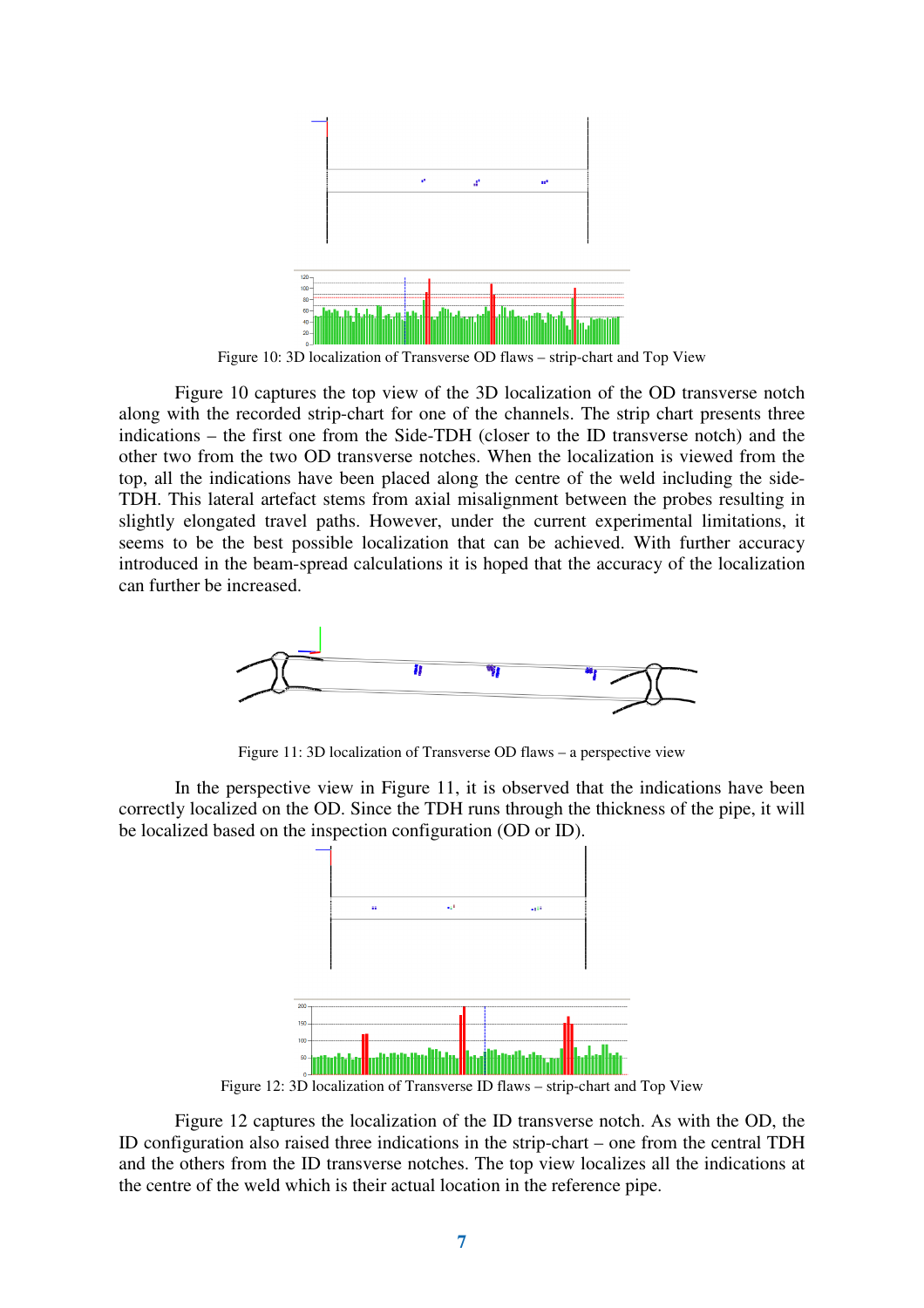

Figure 10: 3D localization of Transverse OD flaws – strip-chart and Top View

Figure 10 captures the top view of the 3D localization of the OD transverse notch along with the recorded strip-chart for one of the channels. The strip chart presents three indications – the first one from the Side-TDH (closer to the ID transverse notch) and the other two from the two OD transverse notches. When the localization is viewed from the top, all the indications have been placed along the centre of the weld including the side-TDH. This lateral artefact stems from axial misalignment between the probes resulting in slightly elongated travel paths. However, under the current experimental limitations, it seems to be the best possible localization that can be achieved. With further accuracy introduced in the beam-spread calculations it is hoped that the accuracy of the localization can further be increased.



Figure 11: 3D localization of Transverse OD flaws – a perspective view

In the perspective view in Figure 11, it is observed that the indications have been correctly localized on the OD. Since the TDH runs through the thickness of the pipe, it will be localized based on the inspection configuration (OD or ID).



Figure 12 captures the localization of the ID transverse notch. As with the OD, the ID configuration also raised three indications in the strip-chart – one from the central TDH and the others from the ID transverse notches. The top view localizes all the indications at the centre of the weld which is their actual location in the reference pipe.